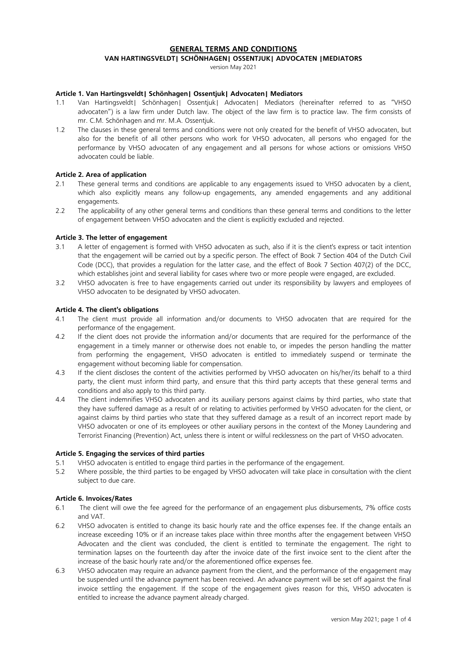# **GENERAL TERMS AND CONDITIONS**

# **VAN HARTINGSVELDT| SCHÖNHAGEN| OSSENTJUK| ADVOCATEN |MEDIATORS**

version May 2021

#### **Article 1. Van Hartingsveldt| Schönhagen| Ossentjuk| Advocaten| Mediators**

- 1.1 Van Hartingsveldt| Schönhagen| Ossentjuk| Advocaten| Mediators (hereinafter referred to as "VHSO advocaten") is a law firm under Dutch law. The object of the law firm is to practice law. The firm consists of mr. C.M. Schönhagen and mr. M.A. Ossentjuk.
- 1.2 The clauses in these general terms and conditions were not only created for the benefit of VHSO advocaten, but also for the benefit of all other persons who work for VHSO advocaten, all persons who engaged for the performance by VHSO advocaten of any engagement and all persons for whose actions or omissions VHSO advocaten could be liable.

#### **Article 2. Area of application**

- 2.1 These general terms and conditions are applicable to any engagements issued to VHSO advocaten by a client, which also explicitly means any follow-up engagements, any amended engagements and any additional engagements.
- 2.2 The applicability of any other general terms and conditions than these general terms and conditions to the letter of engagement between VHSO advocaten and the client is explicitly excluded and rejected.

#### **Article 3. The letter of engagement**

- 3.1 A letter of engagement is formed with VHSO advocaten as such, also if it is the client's express or tacit intention that the engagement will be carried out by a specific person. The effect of Book 7 Section 404 of the Dutch Civil Code (DCC), that provides a regulation for the latter case, and the effect of Book 7 Section 407(2) of the DCC, which establishes joint and several liability for cases where two or more people were engaged, are excluded.
- 3.2 VHSO advocaten is free to have engagements carried out under its responsibility by lawyers and employees of VHSO advocaten to be designated by VHSO advocaten.

#### **Article 4. The client's obligations**

- 4.1 The client must provide all information and/or documents to VHSO advocaten that are required for the performance of the engagement.
- 4.2 If the client does not provide the information and/or documents that are required for the performance of the engagement in a timely manner or otherwise does not enable to, or impedes the person handling the matter from performing the engagement, VHSO advocaten is entitled to immediately suspend or terminate the engagement without becoming liable for compensation.
- 4.3 If the client discloses the content of the activities performed by VHSO advocaten on his/her/its behalf to a third party, the client must inform third party, and ensure that this third party accepts that these general terms and conditions and also apply to this third party.
- 4.4 The client indemnifies VHSO advocaten and its auxiliary persons against claims by third parties, who state that they have suffered damage as a result of or relating to activities performed by VHSO advocaten for the client, or against claims by third parties who state that they suffered damage as a result of an incorrect report made by VHSO advocaten or one of its employees or other auxiliary persons in the context of the Money Laundering and Terrorist Financing (Prevention) Act, unless there is intent or wilful recklessness on the part of VHSO advocaten.

#### **Article 5. Engaging the services of third parties**

- 5.1 VHSO advocaten is entitled to engage third parties in the performance of the engagement.
- 5.2 Where possible, the third parties to be engaged by VHSO advocaten will take place in consultation with the client subject to due care.

#### **Article 6. Invoices/Rates**

- 6.1 The client will owe the fee agreed for the performance of an engagement plus disbursements, 7% office costs and VAT.
- 6.2 VHSO advocaten is entitled to change its basic hourly rate and the office expenses fee. If the change entails an increase exceeding 10% or if an increase takes place within three months after the engagement between VHSO Advocaten and the client was concluded, the client is entitled to terminate the engagement. The right to termination lapses on the fourteenth day after the invoice date of the first invoice sent to the client after the increase of the basic hourly rate and/or the aforementioned office expenses fee.
- 6.3 VHSO advocaten may require an advance payment from the client, and the performance of the engagement may be suspended until the advance payment has been received. An advance payment will be set off against the final invoice settling the engagement. If the scope of the engagement gives reason for this, VHSO advocaten is entitled to increase the advance payment already charged.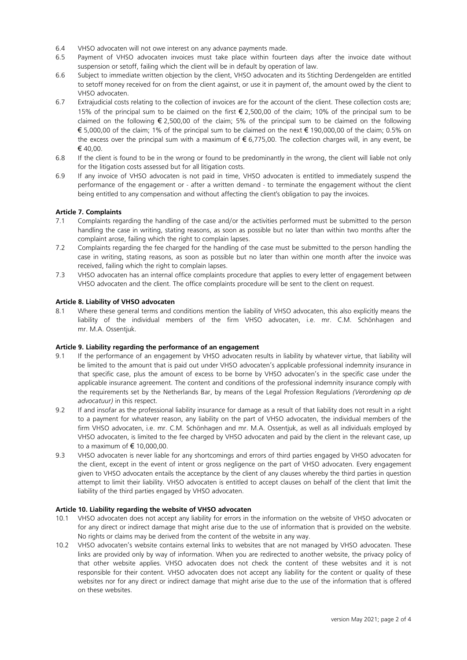- 6.4 VHSO advocaten will not owe interest on any advance payments made.
- 6.5 Payment of VHSO advocaten invoices must take place within fourteen days after the invoice date without suspension or setoff, failing which the client will be in default by operation of law.
- 6.6 Subject to immediate written objection by the client, VHSO advocaten and its Stichting Derdengelden are entitled to setoff money received for on from the client against, or use it in payment of, the amount owed by the client to VHSO advocaten.
- 6.7 Extrajudicial costs relating to the collection of invoices are for the account of the client. These collection costs are; 15% of the principal sum to be claimed on the first € 2,500,00 of the claim; 10% of the principal sum to be claimed on the following  $\epsilon$  2,500,00 of the claim; 5% of the principal sum to be claimed on the following € 5,000,00 of the claim; 1% of the principal sum to be claimed on the next € 190,000,00 of the claim; 0.5% on the excess over the principal sum with a maximum of € 6,775,00. The collection charges will, in any event, be € 40,00.
- 6.8 If the client is found to be in the wrong or found to be predominantly in the wrong, the client will liable not only for the litigation costs assessed but for all litigation costs.
- 6.9 If any invoice of VHSO advocaten is not paid in time, VHSO advocaten is entitled to immediately suspend the performance of the engagement or - after a written demand - to terminate the engagement without the client being entitled to any compensation and without affecting the client's obligation to pay the invoices.

# **Article 7. Complaints**

- 7.1 Complaints regarding the handling of the case and/or the activities performed must be submitted to the person handling the case in writing, stating reasons, as soon as possible but no later than within two months after the complaint arose, failing which the right to complain lapses.
- 7.2 Complaints regarding the fee charged for the handling of the case must be submitted to the person handling the case in writing, stating reasons, as soon as possible but no later than within one month after the invoice was received, failing which the right to complain lapses.
- 7.3 VHSO advocaten has an internal office complaints procedure that applies to every letter of engagement between VHSO advocaten and the client. The office complaints procedure will be sent to the client on request.

#### **Article 8. Liability of VHSO advocaten**

8.1 Where these general terms and conditions mention the liability of VHSO advocaten, this also explicitly means the liability of the individual members of the firm VHSO advocaten, i.e. mr. C.M. Schönhagen and mr. M.A. Ossentjuk.

### **Article 9. Liability regarding the performance of an engagement**

- 9.1 If the performance of an engagement by VHSO advocaten results in liability by whatever virtue, that liability will be limited to the amount that is paid out under VHSO advocaten's applicable professional indemnity insurance in that specific case, plus the amount of excess to be borne by VHSO advocaten's in the specific case under the applicable insurance agreement. The content and conditions of the professional indemnity insurance comply with the requirements set by the Netherlands Bar, by means of the Legal Profession Regulations *(Verordening op de advocatuur)* in this respect.
- 9.2 If and insofar as the professional liability insurance for damage as a result of that liability does not result in a right to a payment for whatever reason, any liability on the part of VHSO advocaten, the individual members of the firm VHSO advocaten, i.e. mr. C.M. Schönhagen and mr. M.A. Ossentjuk, as well as all individuals employed by VHSO advocaten, is limited to the fee charged by VHSO advocaten and paid by the client in the relevant case, up to a maximum of € 10,000,00.
- 9.3 VHSO advocaten is never liable for any shortcomings and errors of third parties engaged by VHSO advocaten for the client, except in the event of intent or gross negligence on the part of VHSO advocaten. Every engagement given to VHSO advocaten entails the acceptance by the client of any clauses whereby the third parties in question attempt to limit their liability. VHSO advocaten is entitled to accept clauses on behalf of the client that limit the liability of the third parties engaged by VHSO advocaten.

# **Article 10. Liability regarding the website of VHSO advocaten**

- 10.1 VHSO advocaten does not accept any liability for errors in the information on the website of VHSO advocaten or for any direct or indirect damage that might arise due to the use of information that is provided on the website. No rights or claims may be derived from the content of the website in any way.
- 10.2 VHSO advocaten's website contains external links to websites that are not managed by VHSO advocaten. These links are provided only by way of information. When you are redirected to another website, the privacy policy of that other website applies. VHSO advocaten does not check the content of these websites and it is not responsible for their content. VHSO advocaten does not accept any liability for the content or quality of these websites nor for any direct or indirect damage that might arise due to the use of the information that is offered on these websites.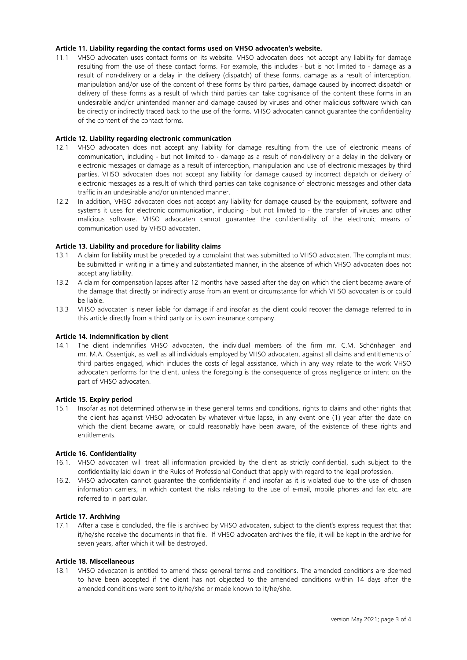# **Article 11. Liability regarding the contact forms used on VHSO advocaten's website.**

11.1 VHSO advocaten uses contact forms on its website. VHSO advocaten does not accept any liability for damage resulting from the use of these contact forms. For example, this includes - but is not limited to - damage as a result of non-delivery or a delay in the delivery (dispatch) of these forms, damage as a result of interception, manipulation and/or use of the content of these forms by third parties, damage caused by incorrect dispatch or delivery of these forms as a result of which third parties can take cognisance of the content these forms in an undesirable and/or unintended manner and damage caused by viruses and other malicious software which can be directly or indirectly traced back to the use of the forms. VHSO advocaten cannot guarantee the confidentiality of the content of the contact forms.

# **Article 12. Liability regarding electronic communication**

- 12.1 VHSO advocaten does not accept any liability for damage resulting from the use of electronic means of communication, including - but not limited to - damage as a result of non-delivery or a delay in the delivery or electronic messages or damage as a result of interception, manipulation and use of electronic messages by third parties. VHSO advocaten does not accept any liability for damage caused by incorrect dispatch or delivery of electronic messages as a result of which third parties can take cognisance of electronic messages and other data traffic in an undesirable and/or unintended manner.
- 12.2 In addition, VHSO advocaten does not accept any liability for damage caused by the equipment, software and systems it uses for electronic communication, including - but not limited to - the transfer of viruses and other malicious software. VHSO advocaten cannot guarantee the confidentiality of the electronic means of communication used by VHSO advocaten.

# **Article 13. Liability and procedure for liability claims**

- 13.1 A claim for liability must be preceded by a complaint that was submitted to VHSO advocaten. The complaint must be submitted in writing in a timely and substantiated manner, in the absence of which VHSO advocaten does not accept any liability.
- 13.2 A claim for compensation lapses after 12 months have passed after the day on which the client became aware of the damage that directly or indirectly arose from an event or circumstance for which VHSO advocaten is or could be liable.
- 13.3 VHSO advocaten is never liable for damage if and insofar as the client could recover the damage referred to in this article directly from a third party or its own insurance company.

### **Article 14. Indemnification by client**

14.1 The client indemnifies VHSO advocaten, the individual members of the firm mr. C.M. Schönhagen and mr. M.A. Ossentjuk, as well as all individuals employed by VHSO advocaten, against all claims and entitlements of third parties engaged, which includes the costs of legal assistance, which in any way relate to the work VHSO advocaten performs for the client, unless the foregoing is the consequence of gross negligence or intent on the part of VHSO advocaten.

### **Article 15. Expiry period**

15.1 Insofar as not determined otherwise in these general terms and conditions, rights to claims and other rights that the client has against VHSO advocaten by whatever virtue lapse, in any event one (1) year after the date on which the client became aware, or could reasonably have been aware, of the existence of these rights and entitlements.

### **Article 16. Confidentiality**

- 16.1. VHSO advocaten will treat all information provided by the client as strictly confidential, such subject to the confidentiality laid down in the Rules of Professional Conduct that apply with regard to the legal profession.
- 16.2. VHSO advocaten cannot guarantee the confidentiality if and insofar as it is violated due to the use of chosen information carriers, in which context the risks relating to the use of e-mail, mobile phones and fax etc. are referred to in particular.

### **Article 17. Archiving**

17.1 After a case is concluded, the file is archived by VHSO advocaten, subject to the client's express request that that it/he/she receive the documents in that file. If VHSO advocaten archives the file, it will be kept in the archive for seven years, after which it will be destroyed.

# **Article 18. Miscellaneous**

18.1 VHSO advocaten is entitled to amend these general terms and conditions. The amended conditions are deemed to have been accepted if the client has not objected to the amended conditions within 14 days after the amended conditions were sent to it/he/she or made known to it/he/she.